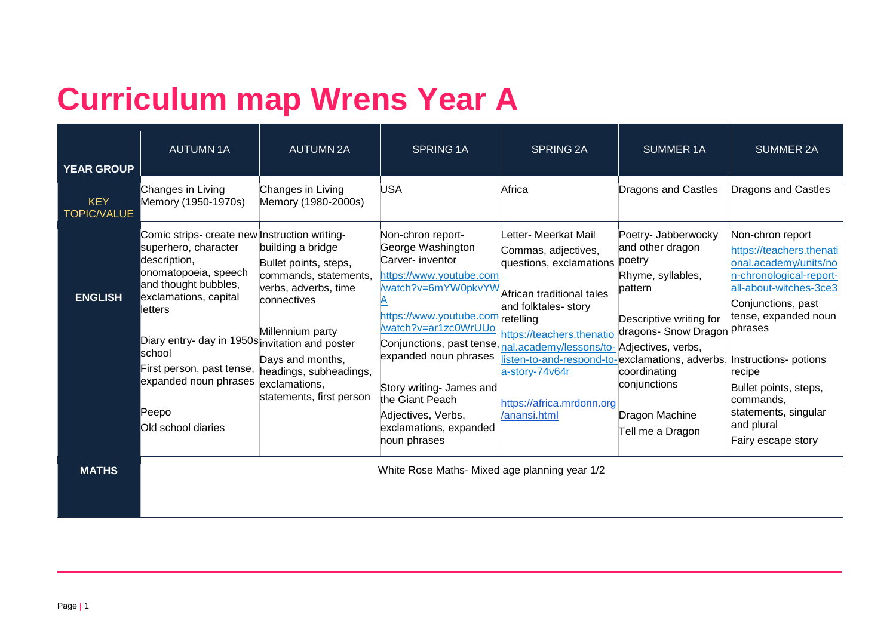## **Curriculum map Wrens Year A**

| <b>YEAR GROUP</b>                | <b>AUTUMN1A</b>                                                                                                                                                                                                                                                                                                                                               | <b>AUTUMN 2A</b>                                                                                                                                                                                | <b>SPRING 1A</b>                                                                                                                                                                                                                                                                                                                                                                          | <b>SPRING 2A</b>                                                                                                                                                                                                                                                                                 | <b>SUMMER 1A</b>                                                                                                                                                                                                   | <b>SUMMER 2A</b>                                                                                                                                                                                                                                                                     |
|----------------------------------|---------------------------------------------------------------------------------------------------------------------------------------------------------------------------------------------------------------------------------------------------------------------------------------------------------------------------------------------------------------|-------------------------------------------------------------------------------------------------------------------------------------------------------------------------------------------------|-------------------------------------------------------------------------------------------------------------------------------------------------------------------------------------------------------------------------------------------------------------------------------------------------------------------------------------------------------------------------------------------|--------------------------------------------------------------------------------------------------------------------------------------------------------------------------------------------------------------------------------------------------------------------------------------------------|--------------------------------------------------------------------------------------------------------------------------------------------------------------------------------------------------------------------|--------------------------------------------------------------------------------------------------------------------------------------------------------------------------------------------------------------------------------------------------------------------------------------|
| <b>KEY</b><br><b>TOPIC/VALUE</b> | Changes in Living<br>Memory (1950-1970s)                                                                                                                                                                                                                                                                                                                      | Changes in Living<br>Memory (1980-2000s)                                                                                                                                                        | <b>USA</b>                                                                                                                                                                                                                                                                                                                                                                                | Africa                                                                                                                                                                                                                                                                                           | Dragons and Castles                                                                                                                                                                                                | Dragons and Castles                                                                                                                                                                                                                                                                  |
| <b>ENGLISH</b>                   | Comic strips- create new Instruction writing-<br>superhero, character<br>description,<br>onomatopoeia, speech<br>and thought bubbles,<br>exclamations, capital<br>lletters<br>Diary entry- day in 1950s invitation and poster<br><b>I</b> school<br>First person, past tense, headings, subheadings,<br>expanded noun phrases<br>lPeepo<br>Old school diaries | building a bridge<br>Bullet points, steps,<br>commands, statements,<br>verbs, adverbs, time<br>connectives<br>Millennium party<br>Days and months,<br>exclamations,<br>statements, first person | Non-chron report-<br>George Washington<br>Carver- inventor<br>https://www.youtube.com<br>/watch?v=6mYW0pkvYW<br>https://www.youtube.com/retelling<br>/watch?v=ar1zc0WrUUo<br>Conjunctions, past tense, nal.academy/lessons/to- Adjectives, verbs,<br>expanded noun phrases<br>Story writing- James and<br>the Giant Peach<br>Adjectives, Verbs,<br>exclamations, expanded<br>noun phrases | Letter- Meerkat Mail<br>Commas, adjectives,<br>questions, exclamations<br>African traditional tales<br>and folktales- story<br>https://teachers.thenatio<br>listen-to-and-respond-to-exclamations, adverbs, Instructions- potions<br>a-story-74v64r<br>https://africa.mrdonn.org<br>/anansi.html | Poetry- Jabberwocky<br>and other dragon<br>poetry<br>Rhyme, syllables,<br>pattern<br>Descriptive writing for<br>dragons- Snow Dragon phrases<br>coordinating<br>conjunctions<br>Dragon Machine<br>Tell me a Dragon | Non-chron report<br>https://teachers.thenati<br>onal.academy/units/no<br>n-chronological-report-<br>all-about-witches-3ce3<br>Conjunctions, past<br>tense, expanded noun<br>recipe<br>Bullet points, steps,<br>commands,<br>statements, singular<br>and plural<br>Fairy escape story |
| <b>MATHS</b>                     |                                                                                                                                                                                                                                                                                                                                                               |                                                                                                                                                                                                 | White Rose Maths- Mixed age planning year 1/2                                                                                                                                                                                                                                                                                                                                             |                                                                                                                                                                                                                                                                                                  |                                                                                                                                                                                                                    |                                                                                                                                                                                                                                                                                      |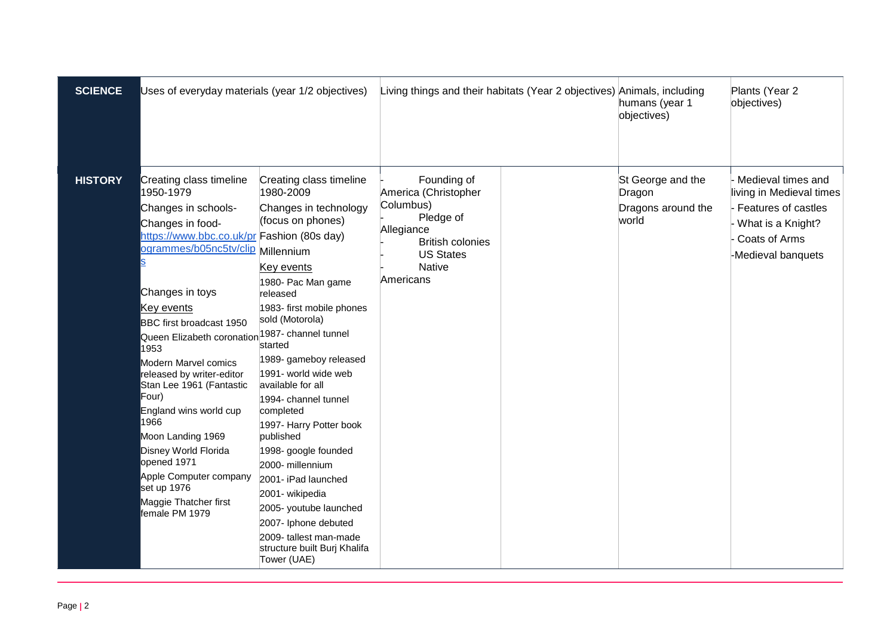| <b>SCIENCE</b> | Uses of everyday materials (year 1/2 objectives)                                                                                                                                                                                                                                                                                                                                                                                                                                                                                                                       |                                                                                                                                                                                                                                                                                                                                                                                                                                                                                                                                                                                  | Living things and their habitats (Year 2 objectives) Animals, including                                                                                  |  | humans (year 1<br>objectives)                              | Plants (Year 2<br>objectives)                                                                                                     |
|----------------|------------------------------------------------------------------------------------------------------------------------------------------------------------------------------------------------------------------------------------------------------------------------------------------------------------------------------------------------------------------------------------------------------------------------------------------------------------------------------------------------------------------------------------------------------------------------|----------------------------------------------------------------------------------------------------------------------------------------------------------------------------------------------------------------------------------------------------------------------------------------------------------------------------------------------------------------------------------------------------------------------------------------------------------------------------------------------------------------------------------------------------------------------------------|----------------------------------------------------------------------------------------------------------------------------------------------------------|--|------------------------------------------------------------|-----------------------------------------------------------------------------------------------------------------------------------|
| <b>HISTORY</b> | Creating class timeline<br>1950-1979<br>Changes in schools-<br>Changes in food-<br>https://www.bbc.co.uk/pr Fashion (80s day)<br>ogrammes/b05nc5tv/clip<br>Changes in toys<br>Key events<br>BBC first broadcast 1950<br>Queen Elizabeth coronation <sup>1987-</sup> channel tunnel<br>1953<br>Modern Marvel comics<br>released by writer-editor<br>Stan Lee 1961 (Fantastic<br>Four)<br>England wins world cup<br>1966<br>Moon Landing 1969<br>Disney World Florida<br>opened 1971<br>Apple Computer company<br>set up 1976<br>Maggie Thatcher first<br>female PM 1979 | Creating class timeline<br>1980-2009<br>Changes in technology<br>(focus on phones)<br>Millennium<br>Key events<br>1980- Pac Man game<br>released<br>1983- first mobile phones<br>sold (Motorola)<br>started<br>1989- gameboy released<br>1991- world wide web<br>available for all<br>1994- channel tunnel<br>completed<br>1997- Harry Potter book<br>published<br>1998- google founded<br>2000- millennium<br>2001- iPad launched<br>2001- wikipedia<br>2005- youtube launched<br>2007- Iphone debuted<br>2009- tallest man-made<br>structure built Burj Khalifa<br>Tower (UAE) | Founding of<br>America (Christopher<br>Columbus)<br>Pledge of<br>Allegiance<br><b>British colonies</b><br><b>US States</b><br><b>Native</b><br>Americans |  | St George and the<br>Dragon<br>Dragons around the<br>world | Medieval times and<br>living in Medieval times<br>Features of castles<br>What is a Knight?<br>Coats of Arms<br>-Medieval banquets |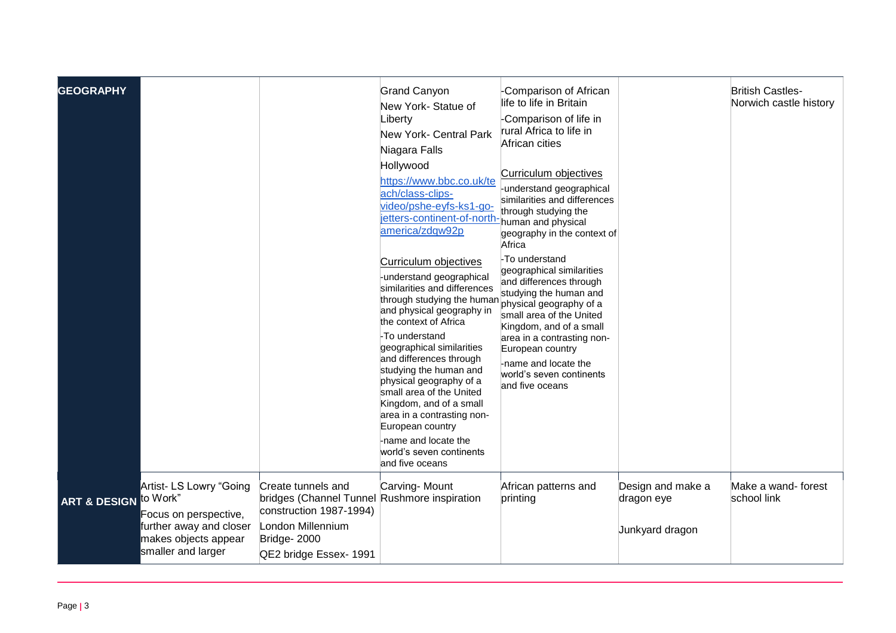| <b>GEOGRAPHY</b>                 |                                                                                                                           |                                                                                                                                                             | <b>Grand Canyon</b><br>New York- Statue of<br>Liberty<br><b>New York- Central Park</b><br>Niagara Falls<br>Hollywood<br>https://www.bbc.co.uk/te<br>ach/class-clips-<br>video/pshe-eyfs-ks1-go-<br>jetters-continent-of-north-<br>america/zdqw92p                                                                                                                                                                                                                                                            | Comparison of African<br>life to life in Britain<br>Comparison of life in<br>rural Africa to life in<br>African cities<br><b>Curriculum objectives</b><br>understand geographical<br>similarities and differences<br>through studying the<br>human and physical<br>geography in the context of<br>Africa |                                                    | <b>British Castles-</b><br>Norwich castle history |
|----------------------------------|---------------------------------------------------------------------------------------------------------------------------|-------------------------------------------------------------------------------------------------------------------------------------------------------------|--------------------------------------------------------------------------------------------------------------------------------------------------------------------------------------------------------------------------------------------------------------------------------------------------------------------------------------------------------------------------------------------------------------------------------------------------------------------------------------------------------------|----------------------------------------------------------------------------------------------------------------------------------------------------------------------------------------------------------------------------------------------------------------------------------------------------------|----------------------------------------------------|---------------------------------------------------|
|                                  |                                                                                                                           |                                                                                                                                                             | Curriculum objectives<br>-understand geographical<br>similarities and differences<br>through studying the human physical geography of a<br>and physical geography in<br>the context of Africa<br>-To understand<br>geographical similarities<br>and differences through<br>studying the human and<br>physical geography of a<br>small area of the United<br>Kingdom, and of a small<br>area in a contrasting non-<br>European country<br>-name and locate the<br>world's seven continents<br>and five oceans | -To understand<br>geographical similarities<br>and differences through<br>studying the human and<br>small area of the United<br>Kingdom, and of a small<br>area in a contrasting non-<br>European country<br>-name and locate the<br>world's seven continents<br>and five oceans                         |                                                    |                                                   |
| <b>ART &amp; DESIGN to Work"</b> | Artist- LS Lowry "Going<br>Focus on perspective,<br>further away and closer<br>makes objects appear<br>smaller and larger | Create tunnels and<br>bridges (Channel Tunnel Rushmore inspiration<br>construction 1987-1994)<br>London Millennium<br>Bridge-2000<br>QE2 bridge Essex- 1991 | Carving- Mount                                                                                                                                                                                                                                                                                                                                                                                                                                                                                               | African patterns and<br>printing                                                                                                                                                                                                                                                                         | Design and make a<br>dragon eye<br>Junkyard dragon | Make a wand- forest<br>school link                |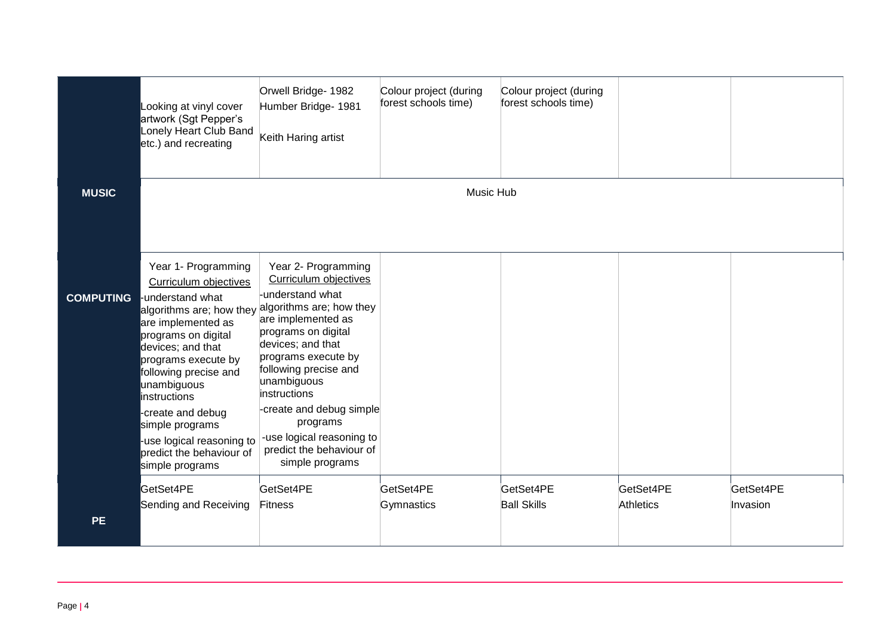|                  | Looking at vinyl cover<br>artwork (Sgt Pepper's<br>Lonely Heart Club Band<br>etc.) and recreating                                                                                                                                                                                                                                     | Orwell Bridge- 1982<br>Humber Bridge- 1981<br>Keith Haring artist                                                                                                                                                                                                                                                                                                                          | Colour project (during<br>forest schools time) | Colour project (during<br>forest schools time) |                               |                       |
|------------------|---------------------------------------------------------------------------------------------------------------------------------------------------------------------------------------------------------------------------------------------------------------------------------------------------------------------------------------|--------------------------------------------------------------------------------------------------------------------------------------------------------------------------------------------------------------------------------------------------------------------------------------------------------------------------------------------------------------------------------------------|------------------------------------------------|------------------------------------------------|-------------------------------|-----------------------|
| <b>MUSIC</b>     |                                                                                                                                                                                                                                                                                                                                       |                                                                                                                                                                                                                                                                                                                                                                                            | <b>Music Hub</b>                               |                                                |                               |                       |
| <b>COMPUTING</b> | Year 1- Programming<br>Curriculum objectives<br>-understand what<br>are implemented as<br>programs on digital<br>devices; and that<br>programs execute by<br>following precise and<br>unambiguous<br>instructions<br>-create and debug<br>simple programs<br>-use logical reasoning to<br>predict the behaviour of<br>simple programs | Year 2- Programming<br>Curriculum objectives<br>-understand what<br>algorithms are; how they algorithms are; how they<br>are implemented as<br>programs on digital<br>devices; and that<br>programs execute by<br>following precise and<br>unambiguous<br>instructions<br>-create and debug simple<br>programs<br>-use logical reasoning to<br>predict the behaviour of<br>simple programs |                                                |                                                |                               |                       |
| <b>PE</b>        | GetSet4PE<br>Sending and Receiving                                                                                                                                                                                                                                                                                                    | GetSet4PE<br>Fitness                                                                                                                                                                                                                                                                                                                                                                       | GetSet4PE<br>Gymnastics                        | GetSet4PE<br><b>Ball Skills</b>                | GetSet4PE<br><b>Athletics</b> | GetSet4PE<br>Invasion |